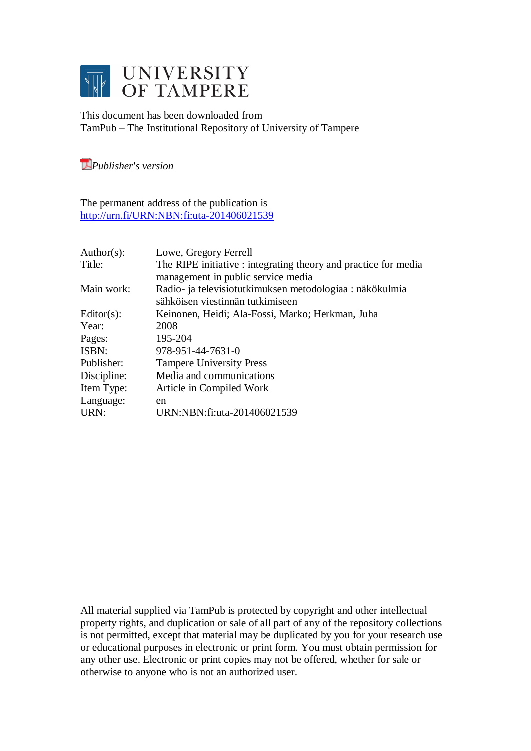

This document has been downloaded from TamPub – The Institutional Repository of University of Tampere

*[P](http://tampub.uta.fi/english/haekokoversio.php?id=1007)ublisher's version* 

The permanent address of the publication is <http://urn.fi/URN:NBN:fi:uta-201406021539>

| Author( $s$ ): | Lowe, Gregory Ferrell                                           |
|----------------|-----------------------------------------------------------------|
| Title:         | The RIPE initiative : integrating theory and practice for media |
|                | management in public service media                              |
| Main work:     | Radio- ja televisiotutkimuksen metodologiaa : näkökulmia        |
|                | sähköisen viestinnän tutkimiseen                                |
| Editor $(s)$ : | Keinonen, Heidi; Ala-Fossi, Marko; Herkman, Juha                |
| Year:          | 2008                                                            |
| Pages:         | 195-204                                                         |
| ISBN:          | 978-951-44-7631-0                                               |
| Publisher:     | <b>Tampere University Press</b>                                 |
| Discipline:    | Media and communications                                        |
| Item Type:     | Article in Compiled Work                                        |
| Language:      | en                                                              |
| URN:           | URN:NBN:fi:uta-201406021539                                     |

All material supplied via TamPub is protected by copyright and other intellectual property rights, and duplication or sale of all part of any of the repository collections is not permitted, except that material may be duplicated by you for your research use or educational purposes in electronic or print form. You must obtain permission for any other use. Electronic or print copies may not be offered, whether for sale or otherwise to anyone who is not an authorized user.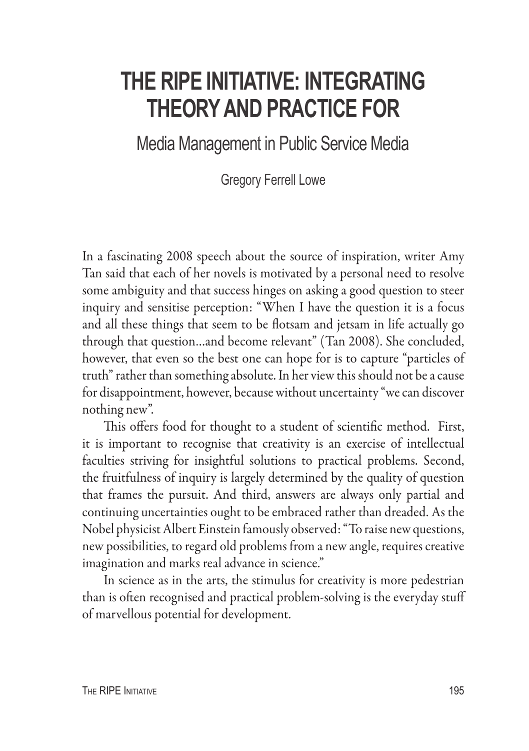# **The RIPE Initiative: Integrating Theory and Practice for**

Media Management in Public Service Media

Gregory Ferrell Lowe

In a fascinating 2008 speech about the source of inspiration, writer Amy Tan said that each of her novels is motivated by a personal need to resolve some ambiguity and that success hinges on asking a good question to steer inquiry and sensitise perception: "When I have the question it is a focus and all these things that seem to be flotsam and jetsam in life actually go through that question…and become relevant" (Tan 2008). She concluded, however, that even so the best one can hope for is to capture "particles of truth" rather than something absolute. In her view this should not be a cause for disappointment, however, because without uncertainty "we can discover nothing new".

This offers food for thought to a student of scientific method. First, it is important to recognise that creativity is an exercise of intellectual faculties striving for insightful solutions to practical problems. Second, the fruitfulness of inquiry is largely determined by the quality of question that frames the pursuit. And third, answers are always only partial and continuing uncertainties ought to be embraced rather than dreaded. As the Nobel physicist Albert Einstein famously observed: "To raise new questions, new possibilities, to regard old problems from a new angle, requires creative imagination and marks real advance in science."

In science as in the arts, the stimulus for creativity is more pedestrian than is often recognised and practical problem-solving is the everyday stuff of marvellous potential for development.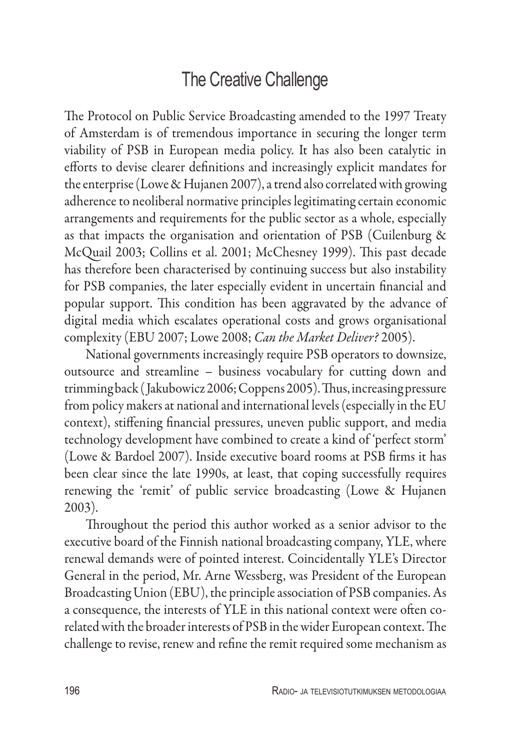## The Creative Challenge

The Protocol on Public Service Broadcasting amended to the 1997 Treaty of Amsterdam is of tremendous importance in securing the longer term viability of PSB in European media policy. It has also been catalytic in efforts to devise clearer definitions and increasingly explicit mandates for the enterprise (Lowe & Hujanen 2007), a trend also correlated with growing adherence to neoliberal normative principles legitimating certain economic arrangements and requirements for the public sector as a whole, especially as that impacts the organisation and orientation of PSB (Cuilenburg & McQuail 2003; Collins et al. 2001; McChesney 1999). This past decade has therefore been characterised by continuing success but also instability for PSB companies, the later especially evident in uncertain financial and popular support. This condition has been aggravated by the advance of digital media which escalates operational costs and grows organisational complexity (EBU 2007; Lowe 2008; *Can the Market Deliver?* 2005).

National governments increasingly require PSB operators to downsize, outsource and streamline – business vocabulary for cutting down and trimming back ( Jakubowicz 2006; Coppens 2005). Thus, increasing pressure from policy makers at national and international levels (especially in the EU context), stiffening financial pressures, uneven public support, and media technology development have combined to create a kind of 'perfect storm' (Lowe & Bardoel 2007). Inside executive board rooms at PSB firms it has been clear since the late 1990s, at least, that coping successfully requires renewing the 'remit' of public service broadcasting (Lowe & Hujanen 2003).

Throughout the period this author worked as a senior advisor to the executive board of the Finnish national broadcasting company, YLE, where renewal demands were of pointed interest. Coincidentally YLE's Director General in the period, Mr. Arne Wessberg, was President of the European Broadcasting Union (EBU), the principle association of PSB companies. As a consequence, the interests of YLE in this national context were often corelated with the broader interests of PSB in the wider European context. The challenge to revise, renew and refine the remit required some mechanism as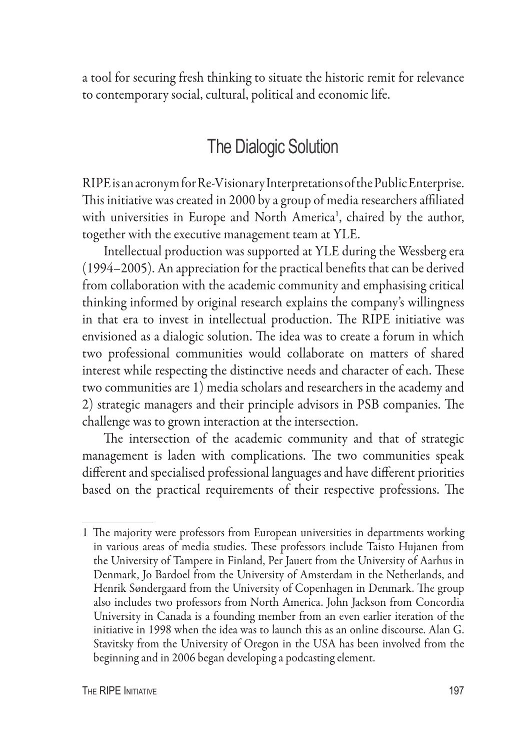a tool for securing fresh thinking to situate the historic remit for relevance to contemporary social, cultural, political and economic life.

### The Dialogic Solution

RIPE is an acronym for Re-Visionary Interpretations of the Public Enterprise. This initiative was created in 2000 by a group of media researchers affiliated with universities in Europe and North America<sup>1</sup>, chaired by the author, together with the executive management team at YLE.

Intellectual production was supported at YLE during the Wessberg era (1994–2005). An appreciation for the practical benefits that can be derived from collaboration with the academic community and emphasising critical thinking informed by original research explains the company's willingness in that era to invest in intellectual production. The RIPE initiative was envisioned as a dialogic solution. The idea was to create a forum in which two professional communities would collaborate on matters of shared interest while respecting the distinctive needs and character of each. These two communities are 1) media scholars and researchers in the academy and 2) strategic managers and their principle advisors in PSB companies. The challenge was to grown interaction at the intersection.

The intersection of the academic community and that of strategic management is laden with complications. The two communities speak different and specialised professional languages and have different priorities based on the practical requirements of their respective professions. The

<sup>1</sup> The majority were professors from European universities in departments working in various areas of media studies. These professors include Taisto Hujanen from the University of Tampere in Finland, Per Jauert from the University of Aarhus in Denmark, Jo Bardoel from the University of Amsterdam in the Netherlands, and Henrik Søndergaard from the University of Copenhagen in Denmark. The group also includes two professors from North America. John Jackson from Concordia University in Canada is a founding member from an even earlier iteration of the initiative in 1998 when the idea was to launch this as an online discourse. Alan G. Stavitsky from the University of Oregon in the USA has been involved from the beginning and in 2006 began developing a podcasting element.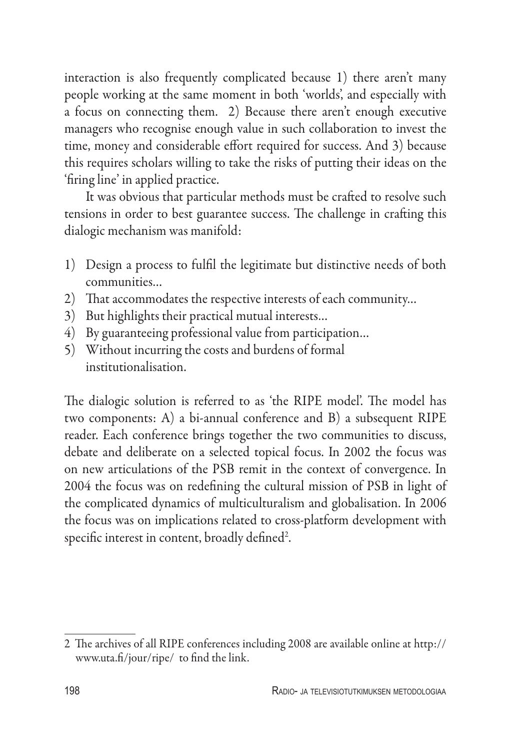interaction is also frequently complicated because 1) there aren't many people working at the same moment in both 'worlds', and especially with a focus on connecting them. 2) Because there aren't enough executive managers who recognise enough value in such collaboration to invest the time, money and considerable effort required for success. And 3) because this requires scholars willing to take the risks of putting their ideas on the 'firing line' in applied practice.

It was obvious that particular methods must be crafted to resolve such tensions in order to best guarantee success. The challenge in crafting this dialogic mechanism was manifold:

- 1) Design a process to fulfil the legitimate but distinctive needs of both communities…
- 2) That accommodates the respective interests of each community…
- 3) But highlights their practical mutual interests…
- 4) By guaranteeing professional value from participation…
- 5) Without incurring the costs and burdens of formal institutionalisation.

The dialogic solution is referred to as 'the RIPE model'. The model has two components: A) a bi-annual conference and B) a subsequent RIPE reader. Each conference brings together the two communities to discuss, debate and deliberate on a selected topical focus. In 2002 the focus was on new articulations of the PSB remit in the context of convergence. In 2004 the focus was on redefining the cultural mission of PSB in light of the complicated dynamics of multiculturalism and globalisation. In 2006 the focus was on implications related to cross-platform development with specific interest in content, broadly defined<sup>2</sup>.

<sup>2</sup> The archives of all RIPE conferences including 2008 are available online at http:// www.uta.fi/jour/ripe/ to find the link.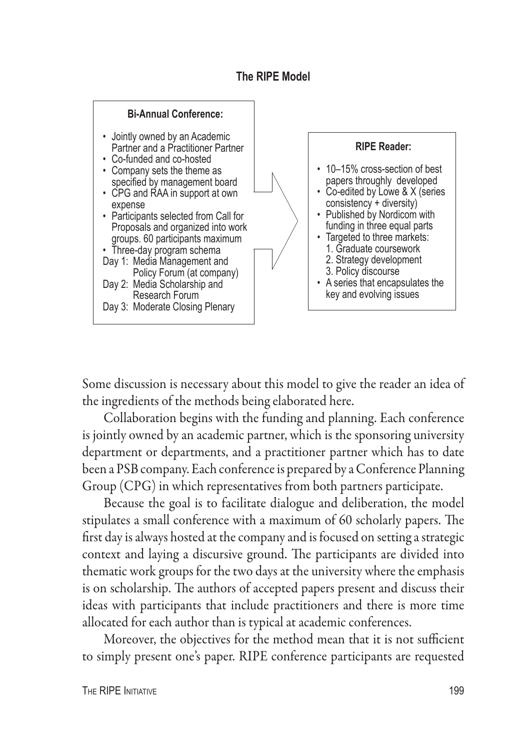#### **The RIPE Model**



Some discussion is necessary about this model to give the reader an idea of the ingredients of the methods being elaborated here.

Collaboration begins with the funding and planning. Each conference is jointly owned by an academic partner, which is the sponsoring university department or departments, and a practitioner partner which has to date been a PSB company. Each conference is prepared by a Conference Planning Group (CPG) in which representatives from both partners participate.

Because the goal is to facilitate dialogue and deliberation, the model stipulates a small conference with a maximum of 60 scholarly papers. The first day is always hosted at the company and is focused on setting a strategic context and laying a discursive ground. The participants are divided into thematic work groups for the two days at the university where the emphasis is on scholarship. The authors of accepted papers present and discuss their ideas with participants that include practitioners and there is more time allocated for each author than is typical at academic conferences.

Moreover, the objectives for the method mean that it is not sufficient to simply present one's paper. RIPE conference participants are requested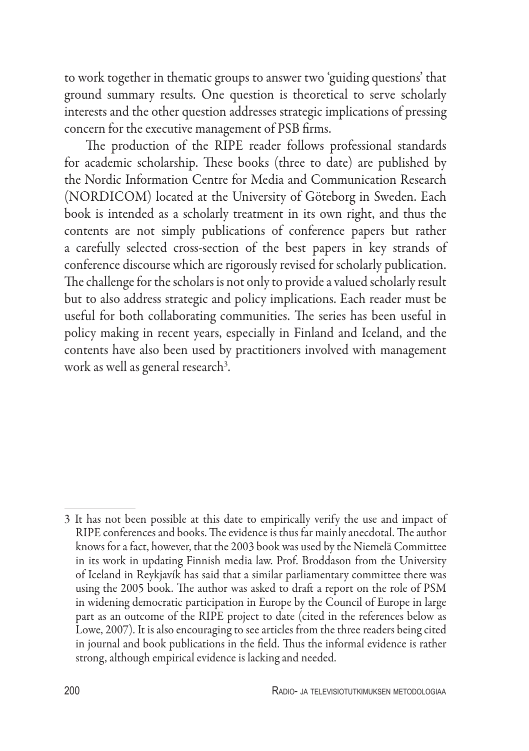to work together in thematic groups to answer two 'guiding questions' that ground summary results. One question is theoretical to serve scholarly interests and the other question addresses strategic implications of pressing concern for the executive management of PSB firms.

The production of the RIPE reader follows professional standards for academic scholarship. These books (three to date) are published by the Nordic Information Centre for Media and Communication Research (NORDICOM) located at the University of Göteborg in Sweden. Each book is intended as a scholarly treatment in its own right, and thus the contents are not simply publications of conference papers but rather a carefully selected cross-section of the best papers in key strands of conference discourse which are rigorously revised for scholarly publication. The challenge for the scholars is not only to provide a valued scholarly result but to also address strategic and policy implications. Each reader must be useful for both collaborating communities. The series has been useful in policy making in recent years, especially in Finland and Iceland, and the contents have also been used by practitioners involved with management work as well as general research<sup>3</sup>.

<sup>3</sup> It has not been possible at this date to empirically verify the use and impact of RIPE conferences and books. The evidence is thus far mainly anecdotal. The author knows for a fact, however, that the 2003 book was used by the Niemelä Committee in its work in updating Finnish media law. Prof. Broddason from the University of Iceland in Reykjavík has said that a similar parliamentary committee there was using the 2005 book. The author was asked to draft a report on the role of PSM in widening democratic participation in Europe by the Council of Europe in large part as an outcome of the RIPE project to date (cited in the references below as Lowe, 2007). It is also encouraging to see articles from the three readers being cited in journal and book publications in the field. Thus the informal evidence is rather strong, although empirical evidence is lacking and needed.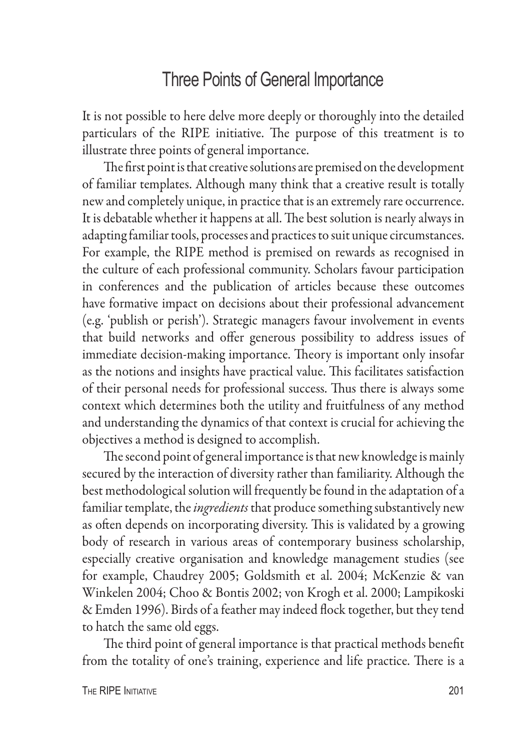### Three Points of General Importance

It is not possible to here delve more deeply or thoroughly into the detailed particulars of the RIPE initiative. The purpose of this treatment is to illustrate three points of general importance.

The first point is that creative solutions are premised on the development of familiar templates. Although many think that a creative result is totally new and completely unique, in practice that is an extremely rare occurrence. It is debatable whether it happens at all. The best solution is nearly always in adapting familiar tools, processes and practices to suit unique circumstances. For example, the RIPE method is premised on rewards as recognised in the culture of each professional community. Scholars favour participation in conferences and the publication of articles because these outcomes have formative impact on decisions about their professional advancement (e.g. 'publish or perish'). Strategic managers favour involvement in events that build networks and offer generous possibility to address issues of immediate decision-making importance. Theory is important only insofar as the notions and insights have practical value. This facilitates satisfaction of their personal needs for professional success. Thus there is always some context which determines both the utility and fruitfulness of any method and understanding the dynamics of that context is crucial for achieving the objectives a method is designed to accomplish.

The second point of general importance is that new knowledge is mainly secured by the interaction of diversity rather than familiarity. Although the best methodological solution will frequently be found in the adaptation of a familiar template, the *ingredients* that produce something substantively new as often depends on incorporating diversity. This is validated by a growing body of research in various areas of contemporary business scholarship, especially creative organisation and knowledge management studies (see for example, Chaudrey 2005; Goldsmith et al. 2004; McKenzie & van Winkelen 2004; Choo & Bontis 2002; von Krogh et al. 2000; Lampikoski & Emden 1996). Birds of a feather may indeed flock together, but they tend to hatch the same old eggs.

The third point of general importance is that practical methods benefit from the totality of one's training, experience and life practice. There is a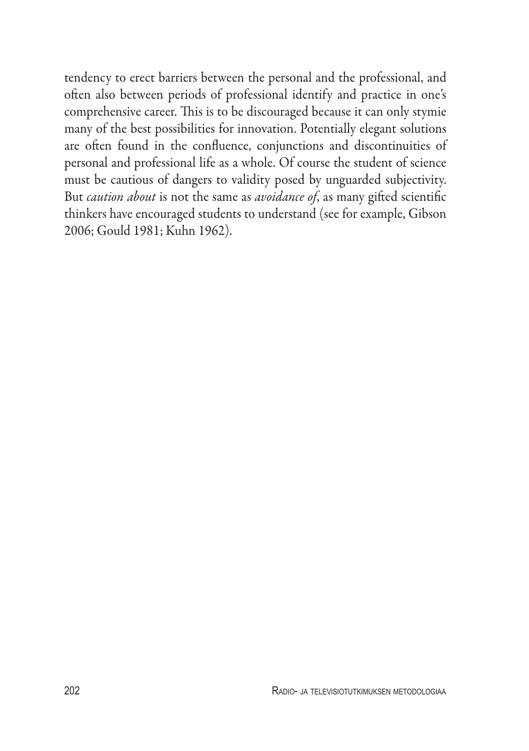tendency to erect barriers between the personal and the professional, and often also between periods of professional identify and practice in one's comprehensive career. This is to be discouraged because it can only stymie many of the best possibilities for innovation. Potentially elegant solutions are often found in the confluence, conjunctions and discontinuities of personal and professional life as a whole. Of course the student of science must be cautious of dangers to validity posed by unguarded subjectivity. But *caution about* is not the same as *avoidance of*, as many gifted scientific thinkers have encouraged students to understand (see for example, Gibson 2006; Gould 1981; Kuhn 1962).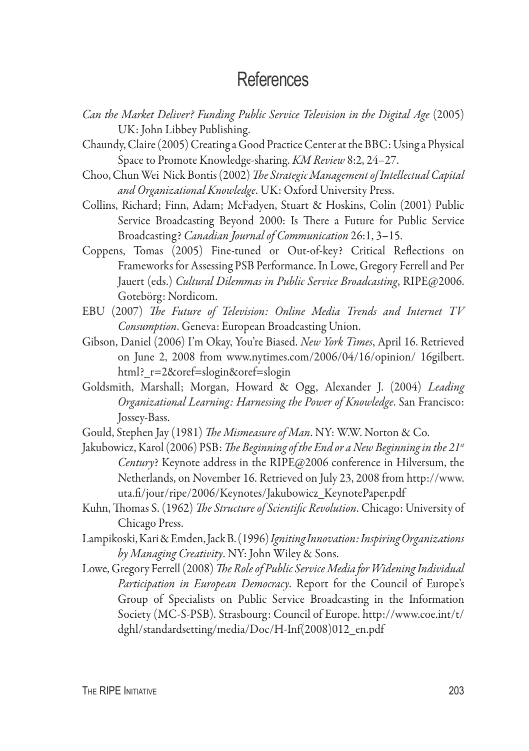### **References**

- *Can the Market Deliver? Funding Public Service Television in the Digital Age* (2005) UK: John Libbey Publishing.
- Chaundy, Claire (2005) Creating a Good Practice Center at the BBC: Using a Physical Space to Promote Knowledge-sharing. *KM Review* 8:2, 24–27.
- Choo, Chun Wei Nick Bontis (2002) *The Strategic Management of Intellectual Capital and Organizational Knowledge*. UK: Oxford University Press.
- Collins, Richard; Finn, Adam; McFadyen, Stuart & Hoskins, Colin (2001) Public Service Broadcasting Beyond 2000: Is There a Future for Public Service Broadcasting? *Canadian Journal of Communication* 26:1, 3–15.
- Coppens, Tomas (2005) Fine-tuned or Out-of-key? Critical Reflections on Frameworks for Assessing PSB Performance. In Lowe, Gregory Ferrell and Per Jauert (eds.) *Cultural Dilemmas in Public Service Broadcasting*, RIPE@2006. Gotebörg: Nordicom.
- EBU (2007) *The Future of Television: Online Media Trends and Internet TV Consumption*. Geneva: European Broadcasting Union.
- Gibson, Daniel (2006) I'm Okay, You're Biased. *New York Times*, April 16. Retrieved on June 2, 2008 from www.nytimes.com/2006/04/16/opinion/ 16gilbert. html?\_r=2&oref=slogin&oref=slogin
- Goldsmith, Marshall; Morgan, Howard & Ogg, Alexander J. (2004) *Leading Organizational Learning: Harnessing the Power of Knowledge*. San Francisco: Jossey-Bass.
- Gould, Stephen Jay (1981) *The Mismeasure of Man*. NY: W.W. Norton & Co.
- Jakubowicz, Karol (2006) PSB: *The Beginning of the End or a New Beginning in the 21st Century*? Keynote address in the RIPE@2006 conference in Hilversum, the Netherlands, on November 16. Retrieved on July 23, 2008 from http://www. uta.fi/jour/ripe/2006/Keynotes/Jakubowicz\_KeynotePaper.pdf
- Kuhn, Thomas S. (1962) *The Structure of Scientific Revolution*. Chicago: University of Chicago Press.
- Lampikoski, Kari & Emden, Jack B. (1996) *Igniting Innovation: Inspiring Organizations by Managing Creativity*. NY: John Wiley & Sons.
- Lowe, Gregory Ferrell (2008) *The Role of Public Service Media for Widening Individual Participation in European Democracy*. Report for the Council of Europe's Group of Specialists on Public Service Broadcasting in the Information Society (MC-S-PSB). Strasbourg: Council of Europe. http://www.coe.int/t/ dghl/standardsetting/media/Doc/H-Inf(2008)012\_en.pdf